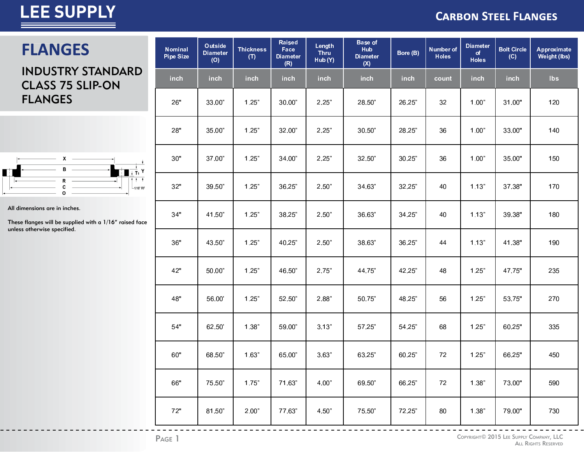**FLANGES** 

#### **CARBON STEEL FLANGES**

### INDUSTRY STANDARD CLASS 75 SLIP-ON FLANGES



All dimensions are in inches.

These flanges will be supplied with a 1/16" raised face unless otherwise specified.

| <b>Nominal</b><br><b>Pipe Size</b> | Outside<br><b>Diameter</b><br>(O) | <b>Thickness</b><br>(T) | <b>Raised</b><br>Face<br><b>Diameter</b><br>(R) | Length<br><b>Thru</b><br>Hub (Y) | <b>Base of</b><br>Hub<br><b>Diameter</b><br>(X) | Bore (B) | Number of<br><b>Holes</b> | <b>Diameter</b><br>of<br><b>Holes</b> | <b>Bolt Circle</b><br>(C) | Approximate<br><b>Weight (lbs)</b> |
|------------------------------------|-----------------------------------|-------------------------|-------------------------------------------------|----------------------------------|-------------------------------------------------|----------|---------------------------|---------------------------------------|---------------------------|------------------------------------|
| inch                               | inch                              | inch                    | inch                                            | inch                             | inch                                            | inch     | count                     | <b>inch</b>                           | inch                      | <b>lbs</b>                         |
| 26"                                | 33.00"                            | 1.25"                   | 30.00"                                          | 2.25"                            | 28.50"                                          | 26.25"   | 32                        | 1.00"                                 | 31.00"                    | 120                                |
| 28"                                | 35.00"                            | 1.25"                   | 32.00"                                          | 2.25"                            | 30.50"                                          | 28.25"   | 36                        | 1.00"                                 | 33.00"                    | 140                                |
| 30"                                | 37.00"                            | 1.25"                   | 34.00"                                          | 2.25"                            | 32.50"                                          | 30.25"   | 36                        | 1.00"                                 | 35.00"                    | 150                                |
| 32"                                | 39.50"                            | 1.25"                   | 36.25"                                          | 2.50"                            | 34.63"                                          | 32.25"   | 40                        | 1.13"                                 | 37.38"                    | 170                                |
| 34"                                | 41.50"                            | 1.25"                   | 38.25"                                          | 2.50"                            | 36.63"                                          | 34.25"   | 40                        | 1.13"                                 | 39.38"                    | 180                                |
| 36"                                | 43.50"                            | 1.25"                   | 40.25"                                          | 2.50"                            | 38.63"                                          | 36.25"   | 44                        | 1.13"                                 | 41.38"                    | 190                                |
| 42"                                | 50.00"                            | 1.25"                   | 46.50"                                          | 2.75"                            | 44.75"                                          | 42.25"   | 48                        | 1.25"                                 | 47.75"                    | 235                                |
| 48"                                | 56.00                             | 1.25"                   | 52.50"                                          | 2.88"                            | 50.75"                                          | 48.25"   | 56                        | 1.25"                                 | 53.75"                    | 270                                |
| 54"                                | 62.50'                            | 1.38"                   | 59.00"                                          | 3.13"                            | 57.25"                                          | 54.25"   | 68                        | 1.25"                                 | 60.25"                    | 335                                |
| 60"                                | 68.50"                            | 1.63"                   | 65.00"                                          | 3.63"                            | 63.25"                                          | 60.25"   | 72                        | 1.25"                                 | 66.25"                    | 450                                |
| 66"                                | 75.50"                            | 1.75"                   | 71.63"                                          | 4.00"                            | 69.50"                                          | 66.25"   | 72                        | 1.38"                                 | 73.00"                    | 590                                |
| 72"                                | 81.50"                            | 2.00"                   | 77.63"                                          | 4.50"                            | 75.50"                                          | 72.25"   | 80                        | 1.38"                                 | 79.00"                    | 730                                |

 $\begin{array}{cccccccccccccc} \bot & \bot & \bot & \bot & \bot & \bot & \bot \end{array}$ 

<u> - - - - - - - -</u>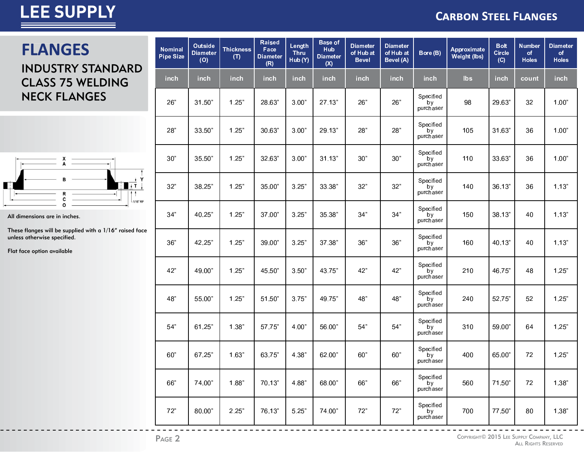### **CARBON STEEL FLANGES**

### **FLANGES**

### INDUSTRY STANDARD CLASS 75 WELDING NECK FLANGES



All dimensions are in inches.

These flanges will be supplied with a 1/16" raised face unless otherwise specified.

Flat face option available

| <b>Nominal</b><br><b>Pipe Size</b> | Outside<br><b>Diameter</b><br>(O) | <b>Thickness</b><br>(T) | <b>Raised</b><br>Face<br><b>Diameter</b><br>(R) | Length<br>Thru<br>Hub (Y) | <b>Base of</b><br>Hub<br><b>Diameter</b><br>(X) | <b>Diameter</b><br>of Hub at<br><b>Bevel</b> | <b>Diameter</b><br>of Hub at<br>Bevel (A) | Bore (B)                     | Approximate<br><b>Weight (lbs)</b> | <b>Bolt</b><br><b>Circle</b><br>(C) | <b>Number</b><br>of<br><b>Holes</b> | <b>Diameter</b><br>of<br><b>Holes</b> |
|------------------------------------|-----------------------------------|-------------------------|-------------------------------------------------|---------------------------|-------------------------------------------------|----------------------------------------------|-------------------------------------------|------------------------------|------------------------------------|-------------------------------------|-------------------------------------|---------------------------------------|
| inch                               | inch                              | inch                    | inch                                            | inch                      | inch                                            | inch                                         | inch                                      | inch                         | <b>lbs</b>                         | inch                                | count                               | inch                                  |
| 26"                                | 31.50"                            | 1.25"                   | 28.63"                                          | 3.00"                     | 27.13"                                          | 26"                                          | 26"                                       | Specified<br>by<br>purchaser | 98                                 | 29.63"                              | 32                                  | 1.00"                                 |
| 28"                                | 33.50"                            | 1.25"                   | 30.63"                                          | 3.00"                     | 29.13"                                          | 28"                                          | 28"                                       | Specified<br>by<br>purchaser | 105                                | 31.63"                              | 36                                  | 1.00"                                 |
| 30"                                | 35.50"                            | 1.25"                   | 32.63"                                          | 3.00"                     | 31.13"                                          | 30"                                          | 30"                                       | Specified<br>by<br>purchaser | 110                                | 33.63"                              | 36                                  | 1.00"                                 |
| 32"                                | 38.25"                            | 1.25"                   | 35.00"                                          | 3.25"                     | 33.38"                                          | 32"                                          | 32"                                       | Specified<br>by<br>purchaser | 140                                | 36.13"                              | 36                                  | 1.13"                                 |
| 34"                                | 40.25"                            | 1.25"                   | 37.00"                                          | 3.25"                     | 35.38"                                          | 34"                                          | 34"                                       | Specified<br>by<br>purchaser | 150                                | 38.13"                              | 40                                  | 1.13"                                 |
| 36"                                | 42.25"                            | 1.25"                   | 39.00"                                          | 3.25"                     | 37.38"                                          | 36"                                          | 36"                                       | Specified<br>by<br>purchaser | 160                                | 40.13"                              | 40                                  | 1.13"                                 |
| 42"                                | 49.00"                            | 1.25"                   | 45.50"                                          | 3.50"                     | 43.75"                                          | 42"                                          | 42"                                       | Specified<br>by<br>purchaser | 210                                | 46.75"                              | 48                                  | 1.25"                                 |
| 48"                                | 55.00"                            | 1.25"                   | 51.50"                                          | 3.75"                     | 49.75"                                          | 48"                                          | 48"                                       | Specified<br>by<br>purchaser | 240                                | 52.75"                              | 52                                  | 1.25"                                 |
| 54"                                | 61.25"                            | 1.38"                   | 57.75"                                          | 4.00"                     | 56.00"                                          | 54"                                          | 54"                                       | Specified<br>by<br>purchaser | 310                                | 59.00"                              | 64                                  | 1.25"                                 |
| 60"                                | 67.25"                            | 1.63"                   | 63.75"                                          | 4.38"                     | 62.00"                                          | 60"                                          | 60"                                       | Specified<br>by<br>purchaser | 400                                | 65.00"                              | 72                                  | 1.25"                                 |
| 66"                                | 74.00"                            | 1.88"                   | 70.13"                                          | 4.88"                     | 68.00"                                          | 66"                                          | 66"                                       | Specified<br>by<br>purchaser | 560                                | 71.50"                              | 72                                  | 1.38"                                 |
| 72"                                | 80.00"                            | 2.25"                   | 76.13"                                          | 5.25"                     | 74.00"                                          | 72"                                          | 72"                                       | Specified<br>by<br>purchaser | 700                                | 77.50"                              | 80                                  | 1.38"                                 |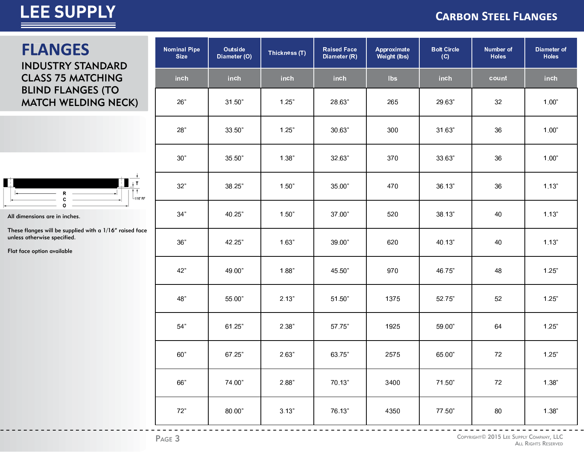#### **CARBON STEEL FLANGES**

### **FLANGES INDUSTRY STANDARD CLASS 75 MATCHING BLIND FLANGES (TO MATCH WELDING NECK)**



All dimensions are in inches.

These flanges will be supplied with a 1/16" raised face unless otherwise specified.

Flat face option available

| <b>Nominal Pipe</b><br><b>Size</b> | Outside<br>Thickness (T)<br>Diameter (O) |       | <b>Raised Face</b><br>Diameter (R) | Approximate<br><b>Weight (lbs)</b> | <b>Bolt Circle</b><br>(C) | <b>Number of</b><br><b>Holes</b> | Diameter of<br><b>Holes</b> |
|------------------------------------|------------------------------------------|-------|------------------------------------|------------------------------------|---------------------------|----------------------------------|-----------------------------|
| inch                               | <b>inch</b>                              | inch  | inch                               | <b>Ibs</b>                         | inch                      | count                            | inch                        |
| 26"                                | 31.50"                                   | 1.25" | 28.63"                             | 265                                | 29.63"                    | 32                               | 1.00"                       |
| 28"                                | 33.50"                                   | 1.25" | 30.63"                             | 300                                | 31.63"                    | 36                               | 1.00"                       |
| 30"                                | 35.50"                                   | 1.38" | 32.63"                             | 370                                | 33.63"                    | 36                               | 1.00"                       |
| 32"                                | 38.25"                                   | 1.50" | 35.00"                             | 470                                | 36.13"                    | 36                               | 1.13"                       |
| 34"                                | 40.25"                                   | 1.50" | 37.00"                             | 520                                | 38.13"                    | 40                               | 1.13"                       |
| 36"                                | 42.25"                                   | 1.63" | 39.00"                             | 620                                | 40.13"                    | 40                               | 1.13"                       |
| 42"                                | 49.00"                                   | 1.88" | 45.50"                             | 970                                | 46.75"                    | 48                               | 1.25"                       |
| 48"                                | 55.00"                                   | 2.13" | 51.50"                             | 1375                               | 52.75"                    | 52                               | 1.25"                       |
| 54"                                | 61.25"                                   | 2.38" | 57.75"                             | 1925                               | 59.00"                    | 64                               | 1.25"                       |
| 60"                                | 67.25"                                   | 2.63" | 63.75"                             | 2575                               | 65.00"                    | 72                               | 1.25"                       |
| 66"                                | 74.00"                                   | 2.88" | 70.13"                             | 3400                               | 71.50"                    | $72\,$                           | 1.38"                       |
| $72"$                              | 80.00"                                   | 3.13" | 76.13"                             | 4350                               | 77.50"                    | 80                               | 1.38"                       |